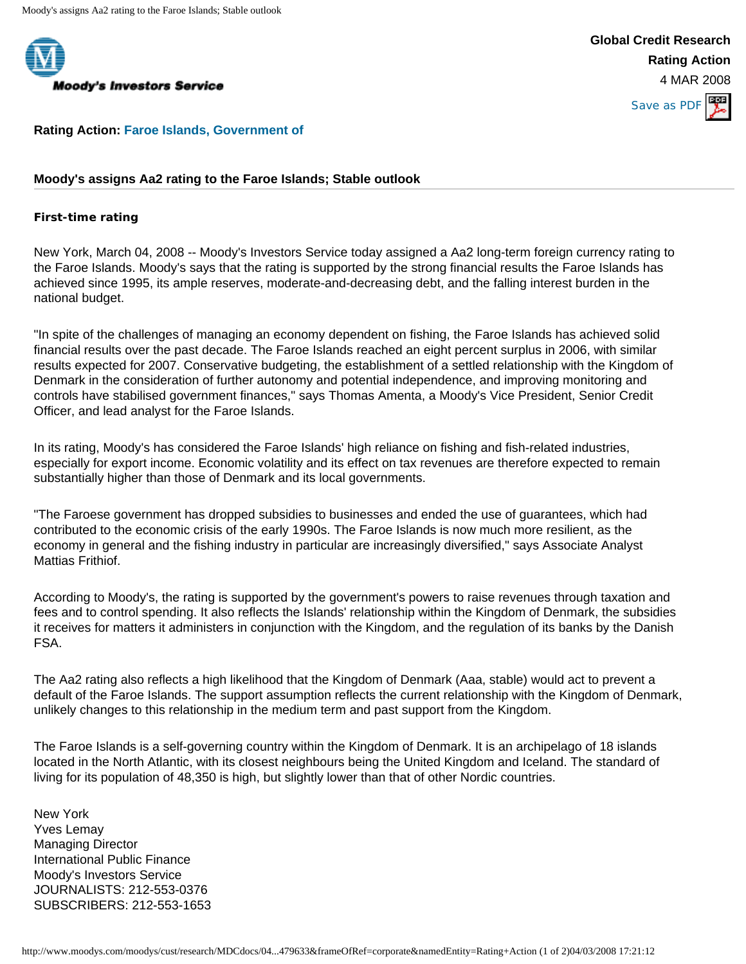

## **Moody's Investors Service**

**Global Credit Research Rating Action** 4 MAR 2008



**Rating Action: [Faroe Islands, Government of](http://www.moodys.com/moodys/cust/qcksearch/qckSearch_search_result.asp?searchQuery=820828907&search=5&searchIdent=qcksearch&fr_ref=C)**

## **Moody's assigns Aa2 rating to the Faroe Islands; Stable outlook**

## **First-time rating**

New York, March 04, 2008 -- Moody's Investors Service today assigned a Aa2 long-term foreign currency rating to the Faroe Islands. Moody's says that the rating is supported by the strong financial results the Faroe Islands has achieved since 1995, its ample reserves, moderate-and-decreasing debt, and the falling interest burden in the national budget.

"In spite of the challenges of managing an economy dependent on fishing, the Faroe Islands has achieved solid financial results over the past decade. The Faroe Islands reached an eight percent surplus in 2006, with similar results expected for 2007. Conservative budgeting, the establishment of a settled relationship with the Kingdom of Denmark in the consideration of further autonomy and potential independence, and improving monitoring and controls have stabilised government finances," says Thomas Amenta, a Moody's Vice President, Senior Credit Officer, and lead analyst for the Faroe Islands.

In its rating, Moody's has considered the Faroe Islands' high reliance on fishing and fish-related industries, especially for export income. Economic volatility and its effect on tax revenues are therefore expected to remain substantially higher than those of Denmark and its local governments.

"The Faroese government has dropped subsidies to businesses and ended the use of guarantees, which had contributed to the economic crisis of the early 1990s. The Faroe Islands is now much more resilient, as the economy in general and the fishing industry in particular are increasingly diversified," says Associate Analyst Mattias Frithiof.

According to Moody's, the rating is supported by the government's powers to raise revenues through taxation and fees and to control spending. It also reflects the Islands' relationship within the Kingdom of Denmark, the subsidies it receives for matters it administers in conjunction with the Kingdom, and the regulation of its banks by the Danish FSA.

The Aa2 rating also reflects a high likelihood that the Kingdom of Denmark (Aaa, stable) would act to prevent a default of the Faroe Islands. The support assumption reflects the current relationship with the Kingdom of Denmark, unlikely changes to this relationship in the medium term and past support from the Kingdom.

The Faroe Islands is a self-governing country within the Kingdom of Denmark. It is an archipelago of 18 islands located in the North Atlantic, with its closest neighbours being the United Kingdom and Iceland. The standard of living for its population of 48,350 is high, but slightly lower than that of other Nordic countries.

New York Yves Lemay Managing Director International Public Finance Moody's Investors Service JOURNALISTS: 212-553-0376 SUBSCRIBERS: 212-553-1653